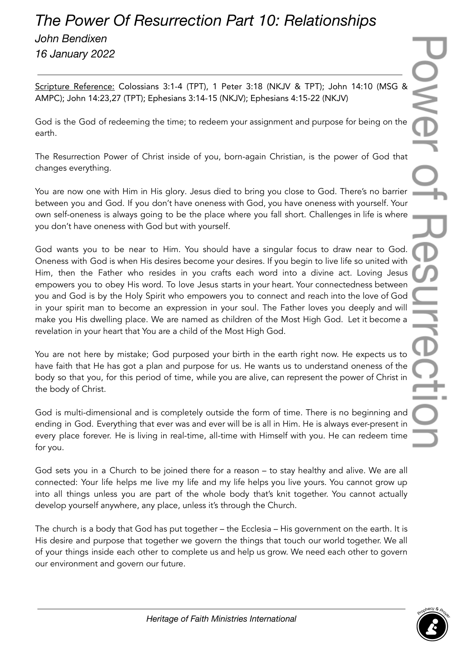## *The Power Of Resurrection Part 10: Relationships*

*John Bendixen 16 January 2022*

Scripture Reference: Colossians 3:1-4 (TPT), 1 Peter 3:18 (NKJV & TPT); John 14:10 (MSG & AMPC); John 14:23,27 (TPT); Ephesians 3:14-15 (NKJV); Ephesians 4:15-22 (NKJV)

God is the God of redeeming the time; to redeem your assignment and purpose for being on the earth.

The Resurrection Power of Christ inside of you, born-again Christian, is the power of God that changes everything.

You are now one with Him in His glory. Jesus died to bring you close to God. There's no barrier between you and God. If you don't have oneness with God, you have oneness with yourself. Your own self-oneness is always going to be the place where you fall short. Challenges in life is where you don't have oneness with God but with yourself.

God wants you to be near to Him. You should have a singular focus to draw near to God. Oneness with God is when His desires become your desires. If you begin to live life so united with Him, then the Father who resides in you crafts each word into a divine act. Loving Jesus empowers you to obey His word. To love Jesus starts in your heart. Your connectedness between you and God is by the Holy Spirit who empowers you to connect and reach into the love of God in your spirit man to become an expression in your soul. The Father loves you deeply and will make you His dwelling place. We are named as children of the Most High God. Let it become a revelation in your heart that You are a child of the Most High God.

You are not here by mistake; God purposed your birth in the earth right now. He expects us to have faith that He has got a plan and purpose for us. He wants us to understand oneness of the body so that you, for this period of time, while you are alive, can represent the power of Christ in the body of Christ.

God is multi-dimensional and is completely outside the form of time. There is no beginning and ending in God. Everything that ever was and ever will be is all in Him. He is always ever-present in every place forever. He is living in real-time, all-time with Himself with you. He can redeem time for you.

God sets you in a Church to be joined there for a reason – to stay healthy and alive. We are all connected: Your life helps me live my life and my life helps you live yours. You cannot grow up into all things unless you are part of the whole body that's knit together. You cannot actually develop yourself anywhere, any place, unless it's through the Church.

The church is a body that God has put together – the Ecclesia – His government on the earth. It is His desire and purpose that together we govern the things that touch our world together. We all of your things inside each other to complete us and help us grow. We need each other to govern our environment and govern our future.